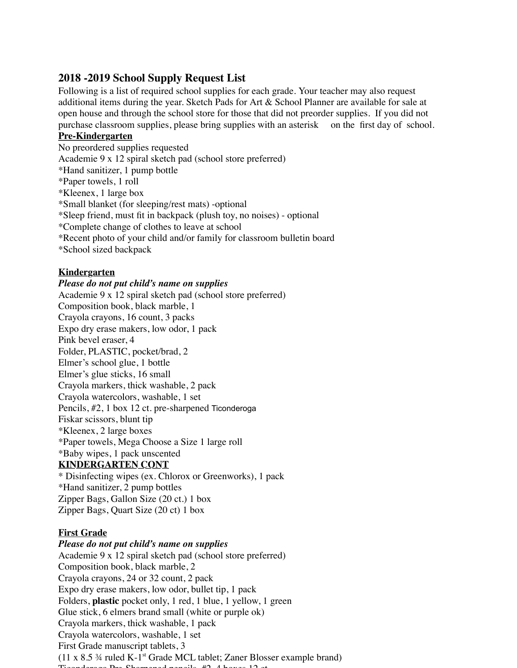# **2018 -2019 School Supply Request List**

Following is a list of required school supplies for each grade. Your teacher may also request additional items during the year. Sketch Pads for Art & School Planner are available for sale at open house and through the school store for those that did not preorder supplies. If you did not purchase classroom supplies, please bring supplies with an asterisk on the first day of school.

## **Pre-Kindergarten**

No preordered supplies requested Academie 9 x 12 spiral sketch pad (school store preferred) \*Hand sanitizer, 1 pump bottle \*Paper towels, 1 roll \*Kleenex, 1 large box \*Small blanket (for sleeping/rest mats) -optional \*Sleep friend, must fit in backpack (plush toy, no noises) - optional \*Complete change of clothes to leave at school \*Recent photo of your child and/or family for classroom bulletin board \*School sized backpack

# **Kindergarten**

# *Please do not put child's name on supplies*

Academie 9 x 12 spiral sketch pad (school store preferred) Composition book, black marble, 1 Crayola crayons, 16 count, 3 packs Expo dry erase makers, low odor, 1 pack Pink bevel eraser, 4 Folder, PLASTIC, pocket/brad, 2 Elmer's school glue, 1 bottle Elmer's glue sticks, 16 small Crayola markers, thick washable, 2 pack Crayola watercolors, washable, 1 set Pencils, #2, 1 box 12 ct. pre-sharpened Ticonderoga Fiskar scissors, blunt tip \*Kleenex, 2 large boxes \*Paper towels, Mega Choose a Size 1 large roll \*Baby wipes, 1 pack unscented **KINDERGARTEN CONT** \* Disinfecting wipes (ex. Chlorox or Greenworks), 1 pack \*Hand sanitizer, 2 pump bottles Zipper Bags, Gallon Size (20 ct.) 1 box

Zipper Bags, Quart Size (20 ct) 1 box

## **First Grade**

*Please do not put child's name on supplies* Academie 9 x 12 spiral sketch pad (school store preferred) Composition book, black marble, 2 Crayola crayons, 24 or 32 count, 2 pack Expo dry erase makers, low odor, bullet tip, 1 pack Folders, **plastic** pocket only, 1 red, 1 blue, 1 yellow, 1 green Glue stick, 6 elmers brand small (white or purple ok) Crayola markers, thick washable, 1 pack Crayola watercolors, washable, 1 set First Grade manuscript tablets, 3  $(11 \times 8.5 \frac{3}{4} \text{ ruled K-1}^{\text{st}} \text{Grade MCL tablet};$  Zaner Blosser example brand)  $T_1$   $\mu_2$   $\mu_3$   $\mu_1$   $\mu_2$   $\mu_3$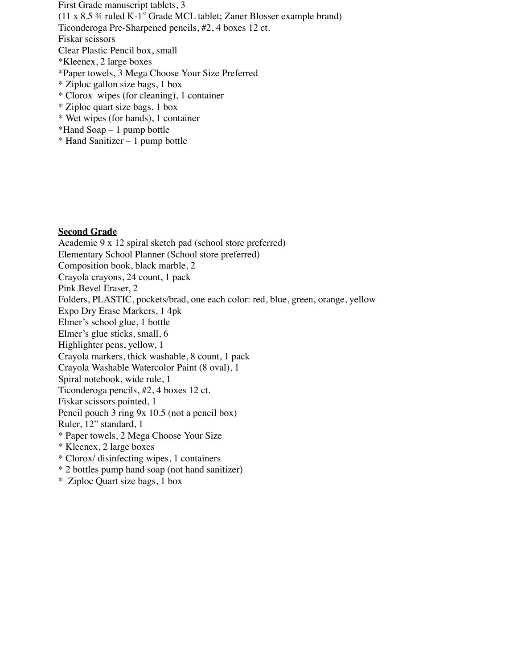First Grade manuscript tablets, 3  $(11 \times 8.5 \frac{3}{4} \text{ ruled K-1}^{\text{st}} \text{Grade MCL tablet};$  Zaner Blosser example brand) Ticonderoga Pre-Sharpened pencils, #2, 4 boxes 12 ct. Fiskar scissors Clear Plastic Pencil box, small \*Kleenex, 2 large boxes \*Paper towels, 3 Mega Choose Your Size Preferred \* Ziploc gallon size bags, 1 box \* Clorox wipes (for cleaning), 1 container \* Ziploc quart size bags, 1 box \* Wet wipes (for hands), 1 container \*Hand Soap – 1 pump bottle

\* Hand Sanitizer – 1 pump bottle

### **Second Grade**

Academie 9 x 12 spiral sketch pad (school store preferred) Elementary School Planner (School store preferred) Composition book, black marble, 2 Crayola crayons, 24 count, 1 pack Pink Bevel Eraser, 2 Folders, PLASTIC, pockets/brad, one each color: red, blue, green, orange, yellow Expo Dry Erase Markers, 1 4pk Elmer's school glue, 1 bottle Elmer's glue sticks, small, 6 Highlighter pens, yellow, 1 Crayola markers, thick washable, 8 count, 1 pack Crayola Washable Watercolor Paint (8 oval), 1 Spiral notebook, wide rule, 1 Ticonderoga pencils, #2, 4 boxes 12 ct. Fiskar scissors pointed, 1 Pencil pouch 3 ring 9x 10.5 (not a pencil box) Ruler, 12" standard, 1 \* Paper towels, 2 Mega Choose Your Size \* Kleenex, 2 large boxes \* Clorox/ disinfecting wipes, 1 containers \* 2 bottles pump hand soap (not hand sanitizer)

\* Ziploc Quart size bags, 1 box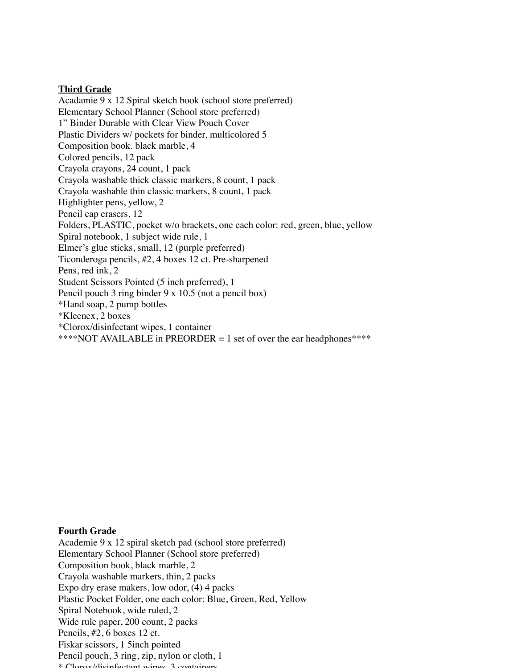### **Third Grade**

Acadamie 9 x 12 Spiral sketch book (school store preferred) Elementary School Planner (School store preferred) 1" Binder Durable with Clear View Pouch Cover Plastic Dividers w/ pockets for binder, multicolored 5 Composition book. black marble, 4 Colored pencils, 12 pack Crayola crayons, 24 count, 1 pack Crayola washable thick classic markers, 8 count, 1 pack Crayola washable thin classic markers, 8 count, 1 pack Highlighter pens, yellow, 2 Pencil cap erasers, 12 Folders, PLASTIC, pocket w/o brackets, one each color: red, green, blue, yellow Spiral notebook, 1 subject wide rule, 1 Elmer's glue sticks, small, 12 (purple preferred) Ticonderoga pencils, #2, 4 boxes 12 ct. Pre-sharpened Pens, red ink, 2 Student Scissors Pointed (5 inch preferred), 1 Pencil pouch 3 ring binder 9 x 10.5 (not a pencil box) \*Hand soap, 2 pump bottles \*Kleenex, 2 boxes \*Clorox/disinfectant wipes, 1 container \*\*\*\*NOT AVAILABLE in PREORDER = 1 set of over the ear headphones\*\*\*\*

#### **Fourth Grade**

Academie 9 x 12 spiral sketch pad (school store preferred) Elementary School Planner (School store preferred) Composition book, black marble, 2 Crayola washable markers, thin, 2 packs Expo dry erase makers, low odor, (4) 4 packs Plastic Pocket Folder, one each color: Blue, Green, Red, Yellow Spiral Notebook, wide ruled, 2 Wide rule paper, 200 count, 2 packs Pencils, #2, 6 boxes 12 ct. Fiskar scissors, 1 5inch pointed Pencil pouch, 3 ring, zip, nylon or cloth, 1 \* Clorox/disinfectant wipes, 3 containers